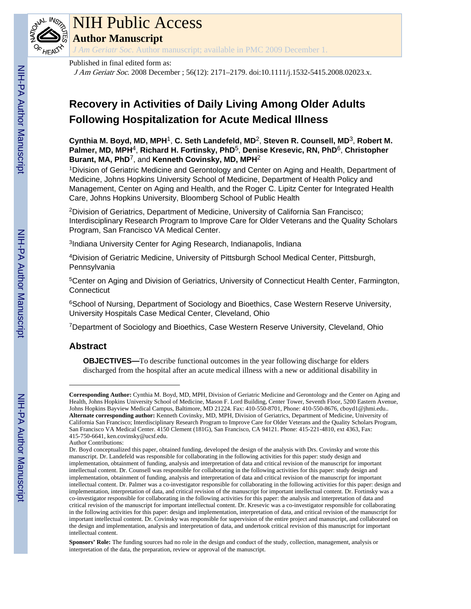

# NIH Public Access

**Author Manuscript**

*J Am Geriatr Soc*. Author manuscript; available in PMC 2009 December 1.

### Published in final edited form as:

J Am Geriatr Soc. 2008 December ; 56(12): 2171–2179. doi:10.1111/j.1532-5415.2008.02023.x.

# **Recovery in Activities of Daily Living Among Older Adults Following Hospitalization for Acute Medical Illness**

**Cynthia M. Boyd, MD, MPH**1, **C. Seth Landefeld, MD**2, **Steven R. Counsell, MD**3, **Robert M. Palmer, MD, MPH**4, **Richard H. Fortinsky, PhD**5, **Denise Kresevic, RN, PhD**6, **Christopher Burant, MA, PhD**7, and **Kenneth Covinsky, MD, MPH**<sup>2</sup>

<sup>1</sup>Division of Geriatric Medicine and Gerontology and Center on Aging and Health, Department of Medicine, Johns Hopkins University School of Medicine, Department of Health Policy and Management, Center on Aging and Health, and the Roger C. Lipitz Center for Integrated Health Care, Johns Hopkins University, Bloomberg School of Public Health

<sup>2</sup>Division of Geriatrics, Department of Medicine, University of California San Francisco; Interdisciplinary Research Program to Improve Care for Older Veterans and the Quality Scholars Program, San Francisco VA Medical Center.

<sup>3</sup>Indiana University Center for Aging Research, Indianapolis, Indiana

<sup>4</sup>Division of Geriatric Medicine, University of Pittsburgh School Medical Center, Pittsburgh, **Pennsylvania** 

<sup>5</sup>Center on Aging and Division of Geriatrics, University of Connecticut Health Center, Farmington, **Connecticut** 

<sup>6</sup>School of Nursing, Department of Sociology and Bioethics, Case Western Reserve University, University Hospitals Case Medical Center, Cleveland, Ohio

<sup>7</sup>Department of Sociology and Bioethics, Case Western Reserve University, Cleveland, Ohio

# **Abstract**

**OBJECTIVES—**To describe functional outcomes in the year following discharge for elders discharged from the hospital after an acute medical illness with a new or additional disability in

**Corresponding Author:** Cynthia M. Boyd, MD, MPH, Division of Geriatric Medicine and Gerontology and the Center on Aging and Health, Johns Hopkins University School of Medicine, Mason F. Lord Building, Center Tower, Seventh Floor, 5200 Eastern Avenue, Johns Hopkins Bayview Medical Campus, Baltimore, MD 21224. Fax: 410-550-8701, Phone: 410-550-8676, cboyd1@jhmi.edu.. **Alternate corresponding author:** Kenneth Covinsky, MD, MPH, Division of Geriatrics, Department of Medicine, University of California San Francisco; Interdisciplinary Research Program to Improve Care for Older Veterans and the Quality Scholars Program, San Francisco VA Medical Center. 4150 Clement (181G), San Francisco, CA 94121. Phone: 415-221-4810, ext 4363, Fax: 415-750-6641, ken.covinsky@ucsf.edu.

Author Contributions:

Dr. Boyd conceptualized this paper, obtained funding, developed the design of the analysis with Drs. Covinsky and wrote this manuscript. Dr. Landefeld was responsible for collaborating in the following activities for this paper: study design and implementation, obtainment of funding, analysis and interpretation of data and critical revision of the manuscript for important intellectual content. Dr. Counsell was responsible for collaborating in the following activities for this paper: study design and implementation, obtainment of funding, analysis and interpretation of data and critical revision of the manuscript for important intellectual content. Dr. Palmer was a co-investigator responsible for collaborating in the following activities for this paper: design and implementation, interpretation of data, and critical revision of the manuscript for important intellectual content. Dr. Fortinsky was a co-investigator responsible for collaborating in the following activities for this paper: the analysis and interpretation of data and critical revision of the manuscript for important intellectual content. Dr. Kresevic was a co-investigator responsible for collaborating in the following activities for this paper: design and implementation, interpretation of data, and critical revision of the manuscript for important intellectual content. Dr. Covinsky was responsible for supervision of the entire project and manuscript, and collaborated on the design and implementation, analysis and interpretation of data, and undertook critical revision of this manuscript for important intellectual content.

**Sponsors' Role:** The funding sources had no role in the design and conduct of the study, collection, management, analysis or interpretation of the data, the preparation, review or approval of the manuscript.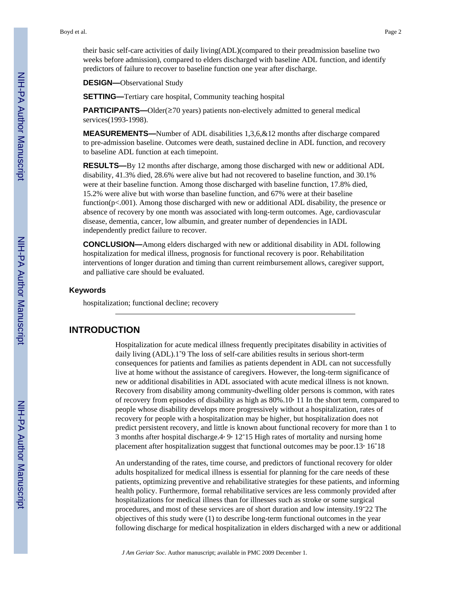their basic self-care activities of daily living(ADL)(compared to their preadmission baseline two weeks before admission), compared to elders discharged with baseline ADL function, and identify predictors of failure to recover to baseline function one year after discharge.

**DESIGN—**Observational Study

**SETTING—**Tertiary care hospital, Community teaching hospital

**PARTICIPANTS—Older(≥70 years) patients non-electively admitted to general medical** services(1993-1998).

**MEASUREMENTS—**Number of ADL disabilities 1,3,6,&12 months after discharge compared to pre-admission baseline. Outcomes were death, sustained decline in ADL function, and recovery to baseline ADL function at each timepoint.

**RESULTS—**By 12 months after discharge, among those discharged with new or additional ADL disability, 41.3% died, 28.6% were alive but had not recovered to baseline function, and 30.1% were at their baseline function. Among those discharged with baseline function, 17.8% died, 15.2% were alive but with worse than baseline function, and 67% were at their baseline function( $p<0.001$ ). Among those discharged with new or additional ADL disability, the presence or absence of recovery by one month was associated with long-term outcomes. Age, cardiovascular disease, dementia, cancer, low albumin, and greater number of dependencies in IADL independently predict failure to recover.

**CONCLUSION—**Among elders discharged with new or additional disability in ADL following hospitalization for medical illness, prognosis for functional recovery is poor. Rehabilitation interventions of longer duration and timing than current reimbursement allows, caregiver support, and palliative care should be evaluated.

#### **Keywords**

hospitalization; functional decline; recovery

# **INTRODUCTION**

Hospitalization for acute medical illness frequently precipitates disability in activities of daily living (ADL).1<sup>-9</sup> The loss of self-care abilities results in serious short-term consequences for patients and families as patients dependent in ADL can not successfully live at home without the assistance of caregivers. However, the long-term significance of new or additional disabilities in ADL associated with acute medical illness is not known. Recovery from disability among community-dwelling older persons is common, with rates of recovery from episodes of disability as high as  $80\% \cdot 10<sup>3</sup>$  11 In the short term, compared to people whose disability develops more progressively without a hospitalization, rates of recovery for people with a hospitalization may be higher, but hospitalization does not predict persistent recovery, and little is known about functional recovery for more than 1 to 3 months after hospital discharge. 4, 9, 12-15 High rates of mortality and nursing home placement after hospitalization suggest that functional outcomes may be poor.13, 16-18

An understanding of the rates, time course, and predictors of functional recovery for older adults hospitalized for medical illness is essential for planning for the care needs of these patients, optimizing preventive and rehabilitative strategies for these patients, and informing health policy. Furthermore, formal rehabilitative services are less commonly provided after hospitalizations for medical illness than for illnesses such as stroke or some surgical procedures, and most of these services are of short duration and low intensity.19-22 The objectives of this study were (1) to describe long-term functional outcomes in the year following discharge for medical hospitalization in elders discharged with a new or additional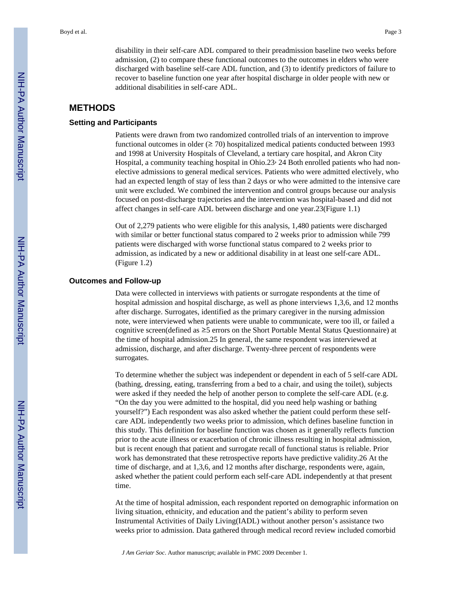disability in their self-care ADL compared to their preadmission baseline two weeks before admission, (2) to compare these functional outcomes to the outcomes in elders who were discharged with baseline self-care ADL function, and (3) to identify predictors of failure to recover to baseline function one year after hospital discharge in older people with new or additional disabilities in self-care ADL.

# **METHODS**

### **Setting and Participants**

Patients were drawn from two randomized controlled trials of an intervention to improve functional outcomes in older ( $\geq$  70) hospitalized medical patients conducted between 1993 and 1998 at University Hospitals of Cleveland, a tertiary care hospital, and Akron City Hospital, a community teaching hospital in Ohio.23, 24 Both enrolled patients who had nonelective admissions to general medical services. Patients who were admitted electively, who had an expected length of stay of less than 2 days or who were admitted to the intensive care unit were excluded. We combined the intervention and control groups because our analysis focused on post-discharge trajectories and the intervention was hospital-based and did not affect changes in self-care ADL between discharge and one year.23(Figure 1.1)

Out of 2,279 patients who were eligible for this analysis, 1,480 patients were discharged with similar or better functional status compared to 2 weeks prior to admission while 799 patients were discharged with worse functional status compared to 2 weeks prior to admission, as indicated by a new or additional disability in at least one self-care ADL. (Figure 1.2)

#### **Outcomes and Follow-up**

Data were collected in interviews with patients or surrogate respondents at the time of hospital admission and hospital discharge, as well as phone interviews 1,3,6, and 12 months after discharge. Surrogates, identified as the primary caregiver in the nursing admission note, were interviewed when patients were unable to communicate, were too ill, or failed a cognitive screen(defined as ≥5 errors on the Short Portable Mental Status Questionnaire) at the time of hospital admission.25 In general, the same respondent was interviewed at admission, discharge, and after discharge. Twenty-three percent of respondents were surrogates.

To determine whether the subject was independent or dependent in each of 5 self-care ADL (bathing, dressing, eating, transferring from a bed to a chair, and using the toilet), subjects were asked if they needed the help of another person to complete the self-care ADL (e.g. "On the day you were admitted to the hospital, did you need help washing or bathing yourself?") Each respondent was also asked whether the patient could perform these selfcare ADL independently two weeks prior to admission, which defines baseline function in this study. This definition for baseline function was chosen as it generally reflects function prior to the acute illness or exacerbation of chronic illness resulting in hospital admission, but is recent enough that patient and surrogate recall of functional status is reliable. Prior work has demonstrated that these retrospective reports have predictive validity.26 At the time of discharge, and at 1,3,6, and 12 months after discharge, respondents were, again, asked whether the patient could perform each self-care ADL independently at that present time.

At the time of hospital admission, each respondent reported on demographic information on living situation, ethnicity, and education and the patient's ability to perform seven Instrumental Activities of Daily Living(IADL) without another person's assistance two weeks prior to admission. Data gathered through medical record review included comorbid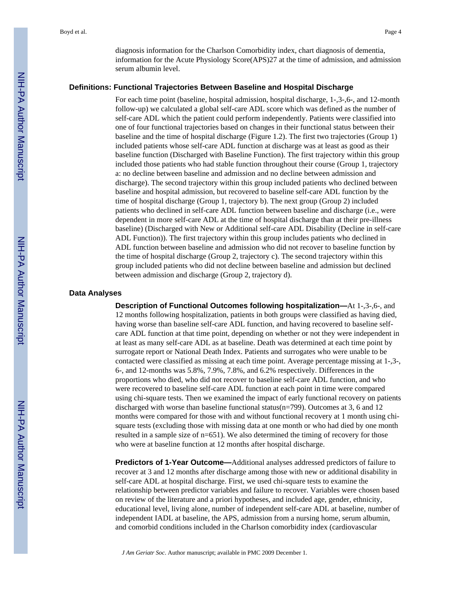diagnosis information for the Charlson Comorbidity index, chart diagnosis of dementia, information for the Acute Physiology Score(APS)27 at the time of admission, and admission serum albumin level.

#### **Definitions: Functional Trajectories Between Baseline and Hospital Discharge**

For each time point (baseline, hospital admission, hospital discharge, 1-,3-,6-, and 12-month follow-up) we calculated a global self-care ADL score which was defined as the number of self-care ADL which the patient could perform independently. Patients were classified into one of four functional trajectories based on changes in their functional status between their baseline and the time of hospital discharge (Figure 1.2). The first two trajectories (Group 1) included patients whose self-care ADL function at discharge was at least as good as their baseline function (Discharged with Baseline Function). The first trajectory within this group included those patients who had stable function throughout their course (Group 1, trajectory a: no decline between baseline and admission and no decline between admission and discharge). The second trajectory within this group included patients who declined between baseline and hospital admission, but recovered to baseline self-care ADL function by the time of hospital discharge (Group 1, trajectory b). The next group (Group 2) included patients who declined in self-care ADL function between baseline and discharge (i.e., were dependent in more self-care ADL at the time of hospital discharge than at their pre-illness baseline) (Discharged with New or Additional self-care ADL Disability (Decline in self-care ADL Function)). The first trajectory within this group includes patients who declined in ADL function between baseline and admission who did not recover to baseline function by the time of hospital discharge (Group 2, trajectory c). The second trajectory within this group included patients who did not decline between baseline and admission but declined between admission and discharge (Group 2, trajectory d).

#### **Data Analyses**

**Description of Functional Outcomes following hospitalization—**At 1-,3-,6-, and 12 months following hospitalization, patients in both groups were classified as having died, having worse than baseline self-care ADL function, and having recovered to baseline selfcare ADL function at that time point, depending on whether or not they were independent in at least as many self-care ADL as at baseline. Death was determined at each time point by surrogate report or National Death Index. Patients and surrogates who were unable to be contacted were classified as missing at each time point. Average percentage missing at 1-,3-, 6-, and 12-months was 5.8%, 7.9%, 7.8%, and 6.2% respectively. Differences in the proportions who died, who did not recover to baseline self-care ADL function, and who were recovered to baseline self-care ADL function at each point in time were compared using chi-square tests. Then we examined the impact of early functional recovery on patients discharged with worse than baseline functional status(n=799). Outcomes at 3, 6 and 12 months were compared for those with and without functional recovery at 1 month using chisquare tests (excluding those with missing data at one month or who had died by one month resulted in a sample size of n=651). We also determined the timing of recovery for those who were at baseline function at 12 months after hospital discharge.

**Predictors of 1-Year Outcome—**Additional analyses addressed predictors of failure to recover at 3 and 12 months after discharge among those with new or additional disability in self-care ADL at hospital discharge. First, we used chi-square tests to examine the relationship between predictor variables and failure to recover. Variables were chosen based on review of the literature and a priori hypotheses, and included age, gender, ethnicity, educational level, living alone, number of independent self-care ADL at baseline, number of independent IADL at baseline, the APS, admission from a nursing home, serum albumin, and comorbid conditions included in the Charlson comorbidity index (cardiovascular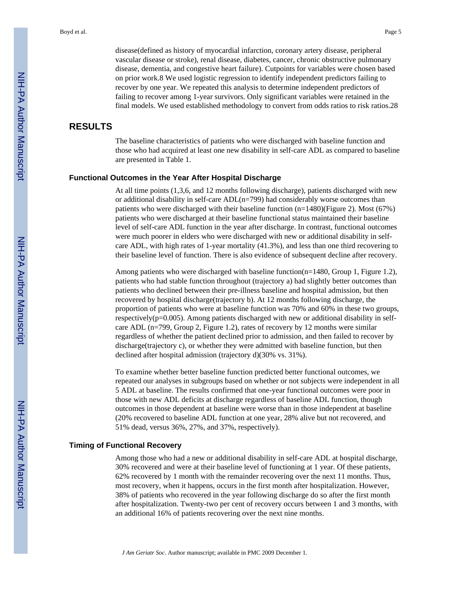disease(defined as history of myocardial infarction, coronary artery disease, peripheral vascular disease or stroke), renal disease, diabetes, cancer, chronic obstructive pulmonary disease, dementia, and congestive heart failure). Cutpoints for variables were chosen based on prior work.8 We used logistic regression to identify independent predictors failing to recover by one year. We repeated this analysis to determine independent predictors of failing to recover among 1-year survivors. Only significant variables were retained in the final models. We used established methodology to convert from odds ratios to risk ratios.28

# **RESULTS**

The baseline characteristics of patients who were discharged with baseline function and those who had acquired at least one new disability in self-care ADL as compared to baseline are presented in Table 1.

#### **Functional Outcomes in the Year After Hospital Discharge**

At all time points (1,3,6, and 12 months following discharge), patients discharged with new or additional disability in self-care  $ADL(n=799)$  had considerably worse outcomes than patients who were discharged with their baseline function  $(n=1480)($ Figure 2). Most (67%) patients who were discharged at their baseline functional status maintained their baseline level of self-care ADL function in the year after discharge. In contrast, functional outcomes were much poorer in elders who were discharged with new or additional disability in selfcare ADL, with high rates of 1-year mortality (41.3%), and less than one third recovering to their baseline level of function. There is also evidence of subsequent decline after recovery.

Among patients who were discharged with baseline function(n=1480, Group 1, Figure 1.2), patients who had stable function throughout (trajectory a) had slightly better outcomes than patients who declined between their pre-illness baseline and hospital admission, but then recovered by hospital discharge(trajectory b). At 12 months following discharge, the proportion of patients who were at baseline function was 70% and 60% in these two groups, respectively( $p=0.005$ ). Among patients discharged with new or additional disability in selfcare ADL (n=799, Group 2, Figure 1.2), rates of recovery by 12 months were similar regardless of whether the patient declined prior to admission, and then failed to recover by discharge(trajectory c), or whether they were admitted with baseline function, but then declined after hospital admission (trajectory d)(30% vs. 31%).

To examine whether better baseline function predicted better functional outcomes, we repeated our analyses in subgroups based on whether or not subjects were independent in all 5 ADL at baseline. The results confirmed that one-year functional outcomes were poor in those with new ADL deficits at discharge regardless of baseline ADL function, though outcomes in those dependent at baseline were worse than in those independent at baseline (20% recovered to baseline ADL function at one year, 28% alive but not recovered, and 51% dead, versus 36%, 27%, and 37%, respectively).

#### **Timing of Functional Recovery**

Among those who had a new or additional disability in self-care ADL at hospital discharge, 30% recovered and were at their baseline level of functioning at 1 year. Of these patients, 62% recovered by 1 month with the remainder recovering over the next 11 months. Thus, most recovery, when it happens, occurs in the first month after hospitalization. However, 38% of patients who recovered in the year following discharge do so after the first month after hospitalization. Twenty-two per cent of recovery occurs between 1 and 3 months, with an additional 16% of patients recovering over the next nine months.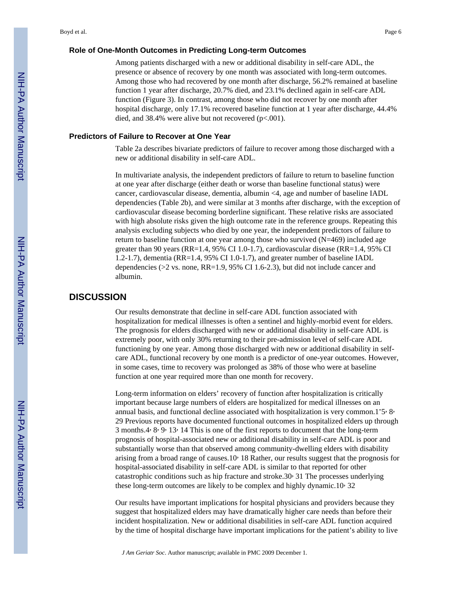#### **Role of One-Month Outcomes in Predicting Long-term Outcomes**

Among patients discharged with a new or additional disability in self-care ADL, the presence or absence of recovery by one month was associated with long-term outcomes. Among those who had recovered by one month after discharge, 56.2% remained at baseline function 1 year after discharge, 20.7% died, and 23.1% declined again in self-care ADL function (Figure 3). In contrast, among those who did not recover by one month after hospital discharge, only 17.1% recovered baseline function at 1 year after discharge, 44.4% died, and 38.4% were alive but not recovered (p<.001).

#### **Predictors of Failure to Recover at One Year**

Table 2a describes bivariate predictors of failure to recover among those discharged with a new or additional disability in self-care ADL.

In multivariate analysis, the independent predictors of failure to return to baseline function at one year after discharge (either death or worse than baseline functional status) were cancer, cardiovascular disease, dementia, albumin <4, age and number of baseline IADL dependencies (Table 2b), and were similar at 3 months after discharge, with the exception of cardiovascular disease becoming borderline significant. These relative risks are associated with high absolute risks given the high outcome rate in the reference groups. Repeating this analysis excluding subjects who died by one year, the independent predictors of failure to return to baseline function at one year among those who survived  $(N=469)$  included age greater than 90 years (RR=1.4, 95% CI 1.0-1.7), cardiovascular disease (RR=1.4, 95% CI 1.2-1.7), dementia (RR=1.4, 95% CI 1.0-1.7), and greater number of baseline IADL dependencies ( $>2$  vs. none, RR=1.9, 95% CI 1.6-2.3), but did not include cancer and albumin.

# **DISCUSSION**

Our results demonstrate that decline in self-care ADL function associated with hospitalization for medical illnesses is often a sentinel and highly-morbid event for elders. The prognosis for elders discharged with new or additional disability in self-care ADL is extremely poor, with only 30% returning to their pre-admission level of self-care ADL functioning by one year. Among those discharged with new or additional disability in selfcare ADL, functional recovery by one month is a predictor of one-year outcomes. However, in some cases, time to recovery was prolonged as 38% of those who were at baseline function at one year required more than one month for recovery.

Long-term information on elders' recovery of function after hospitalization is critically important because large numbers of elders are hospitalized for medical illnesses on an annual basis, and functional decline associated with hospitalization is very common.15, 8, 29 Previous reports have documented functional outcomes in hospitalized elders up through 3 months.  $4 \cdot 8 \cdot 9 \cdot 13 \cdot 14$  This is one of the first reports to document that the long-term prognosis of hospital-associated new or additional disability in self-care ADL is poor and substantially worse than that observed among community-dwelling elders with disability arising from a broad range of causes.10 $\cdot$  18 Rather, our results suggest that the prognosis for hospital-associated disability in self-care ADL is similar to that reported for other catastrophic conditions such as hip fracture and stroke.30 $\cdot$  31 The processes underlying these long-term outcomes are likely to be complex and highly dynamic.10, 32

Our results have important implications for hospital physicians and providers because they suggest that hospitalized elders may have dramatically higher care needs than before their incident hospitalization. New or additional disabilities in self-care ADL function acquired by the time of hospital discharge have important implications for the patient's ability to live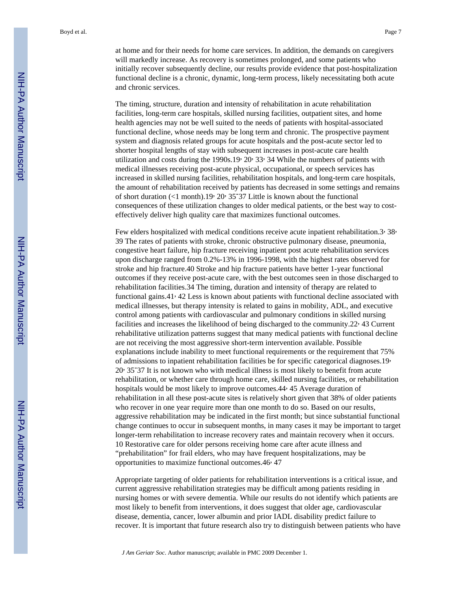at home and for their needs for home care services. In addition, the demands on caregivers will markedly increase. As recovery is sometimes prolonged, and some patients who initially recover subsequently decline, our results provide evidence that post-hospitalization functional decline is a chronic, dynamic, long-term process, likely necessitating both acute and chronic services.

The timing, structure, duration and intensity of rehabilitation in acute rehabilitation facilities, long-term care hospitals, skilled nursing facilities, outpatient sites, and home health agencies may not be well suited to the needs of patients with hospital-associated functional decline, whose needs may be long term and chronic. The prospective payment system and diagnosis related groups for acute hospitals and the post-acute sector led to shorter hospital lengths of stay with subsequent increases in post-acute care health utilization and costs during the 1990s.19,  $20$ ,  $33$ ,  $34$  While the numbers of patients with medical illnesses receiving post-acute physical, occupational, or speech services has increased in skilled nursing facilities, rehabilitation hospitals, and long-term care hospitals, the amount of rehabilitation received by patients has decreased in some settings and remains of short duration (<1 month).19, 20, 35-37 Little is known about the functional consequences of these utilization changes to older medical patients, or the best way to costeffectively deliver high quality care that maximizes functional outcomes.

Few elders hospitalized with medical conditions receive acute inpatient rehabilitation.3, 38, 39 The rates of patients with stroke, chronic obstructive pulmonary disease, pneumonia, congestive heart failure, hip fracture receiving inpatient post acute rehabilitation services upon discharge ranged from 0.2%-13% in 1996-1998, with the highest rates observed for stroke and hip fracture.40 Stroke and hip fracture patients have better 1-year functional outcomes if they receive post-acute care, with the best outcomes seen in those discharged to rehabilitation facilities.34 The timing, duration and intensity of therapy are related to functional gains.41, 42 Less is known about patients with functional decline associated with medical illnesses, but therapy intensity is related to gains in mobility, ADL, and executive control among patients with cardiovascular and pulmonary conditions in skilled nursing facilities and increases the likelihood of being discharged to the community.22, 43 Current rehabilitative utilization patterns suggest that many medical patients with functional decline are not receiving the most aggressive short-term intervention available. Possible explanations include inability to meet functional requirements or the requirement that 75% of admissions to inpatient rehabilitation facilities be for specific categorical diagnoses.19, 20, 35-37 It is not known who with medical illness is most likely to benefit from acute rehabilitation, or whether care through home care, skilled nursing facilities, or rehabilitation hospitals would be most likely to improve outcomes.44, 45 Average duration of rehabilitation in all these post-acute sites is relatively short given that 38% of older patients who recover in one year require more than one month to do so. Based on our results, aggressive rehabilitation may be indicated in the first month; but since substantial functional change continues to occur in subsequent months, in many cases it may be important to target longer-term rehabilitation to increase recovery rates and maintain recovery when it occurs. 10 Restorative care for older persons receiving home care after acute illness and "prehabilitation" for frail elders, who may have frequent hospitalizations, may be opportunities to maximize functional outcomes.46, 47

Appropriate targeting of older patients for rehabilitation interventions is a critical issue, and current aggressive rehabilitation strategies may be difficult among patients residing in nursing homes or with severe dementia. While our results do not identify which patients are most likely to benefit from interventions, it does suggest that older age, cardiovascular disease, dementia, cancer, lower albumin and prior IADL disability predict failure to recover. It is important that future research also try to distinguish between patients who have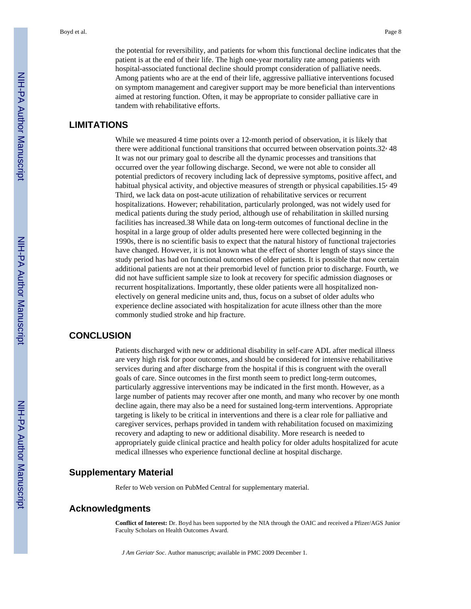the potential for reversibility, and patients for whom this functional decline indicates that the patient is at the end of their life. The high one-year mortality rate among patients with hospital-associated functional decline should prompt consideration of palliative needs. Among patients who are at the end of their life, aggressive palliative interventions focused on symptom management and caregiver support may be more beneficial than interventions aimed at restoring function. Often, it may be appropriate to consider palliative care in tandem with rehabilitative efforts.

# **LIMITATIONS**

While we measured 4 time points over a 12-month period of observation, it is likely that there were additional functional transitions that occurred between observation points.32, 48 It was not our primary goal to describe all the dynamic processes and transitions that occurred over the year following discharge. Second, we were not able to consider all potential predictors of recovery including lack of depressive symptoms, positive affect, and habitual physical activity, and objective measures of strength or physical capabilities.15, 49 Third, we lack data on post-acute utilization of rehabilitative services or recurrent hospitalizations. However; rehabilitation, particularly prolonged, was not widely used for medical patients during the study period, although use of rehabilitation in skilled nursing facilities has increased.38 While data on long-term outcomes of functional decline in the hospital in a large group of older adults presented here were collected beginning in the 1990s, there is no scientific basis to expect that the natural history of functional trajectories have changed. However, it is not known what the effect of shorter length of stays since the study period has had on functional outcomes of older patients. It is possible that now certain additional patients are not at their premorbid level of function prior to discharge. Fourth, we did not have sufficient sample size to look at recovery for specific admission diagnoses or recurrent hospitalizations. Importantly, these older patients were all hospitalized nonelectively on general medicine units and, thus, focus on a subset of older adults who experience decline associated with hospitalization for acute illness other than the more commonly studied stroke and hip fracture.

# **CONCLUSION**

Patients discharged with new or additional disability in self-care ADL after medical illness are very high risk for poor outcomes, and should be considered for intensive rehabilitative services during and after discharge from the hospital if this is congruent with the overall goals of care. Since outcomes in the first month seem to predict long-term outcomes, particularly aggressive interventions may be indicated in the first month. However, as a large number of patients may recover after one month, and many who recover by one month decline again, there may also be a need for sustained long-term interventions. Appropriate targeting is likely to be critical in interventions and there is a clear role for palliative and caregiver services, perhaps provided in tandem with rehabilitation focused on maximizing recovery and adapting to new or additional disability. More research is needed to appropriately guide clinical practice and health policy for older adults hospitalized for acute medical illnesses who experience functional decline at hospital discharge.

# **Supplementary Material**

Refer to Web version on PubMed Central for supplementary material.

# **Acknowledgments**

**Conflict of Interest:** Dr. Boyd has been supported by the NIA through the OAIC and received a Pfizer/AGS Junior Faculty Scholars on Health Outcomes Award.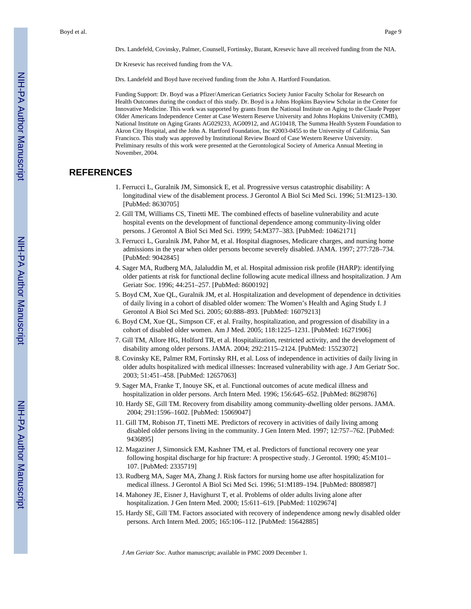Drs. Landefeld, Covinsky, Palmer, Counsell, Fortinsky, Burant, Kresevic have all received funding from the NIA.

Dr Kresevic has received funding from the VA.

Drs. Landefeld and Boyd have received funding from the John A. Hartford Foundation.

Funding Support: Dr. Boyd was a Pfizer/American Geriatrics Society Junior Faculty Scholar for Research on Health Outcomes during the conduct of this study. Dr. Boyd is a Johns Hopkins Bayview Scholar in the Center for Innovative Medicine. This work was supported by grants from the National Institute on Aging to the Claude Pepper Older Americans Independence Center at Case Western Reserve University and Johns Hopkins University (CMB), National Institute on Aging Grants AG029233, AG00912, and AG10418, The Summa Health System Foundation to Akron City Hospital, and the John A. Hartford Foundation, Inc #2003-0455 to the University of California, San Francisco. This study was approved by Institutional Review Board of Case Western Reserve University. Preliminary results of this work were presented at the Gerontological Society of America Annual Meeting in November, 2004.

# **REFERENCES**

- 1. Ferrucci L, Guralnik JM, Simonsick E, et al. Progressive versus catastrophic disability: A longitudinal view of the disablement process. J Gerontol A Biol Sci Med Sci. 1996; 51:M123–130. [PubMed: 8630705]
- 2. Gill TM, Williams CS, Tinetti ME. The combined effects of baseline vulnerability and acute hospital events on the development of functional dependence among community-living older persons. J Gerontol A Biol Sci Med Sci. 1999; 54:M377–383. [PubMed: 10462171]
- 3. Ferrucci L, Guralnik JM, Pahor M, et al. Hospital diagnoses, Medicare charges, and nursing home admissions in the year when older persons become severely disabled. JAMA. 1997; 277:728–734. [PubMed: 9042845]
- 4. Sager MA, Rudberg MA, Jalaluddin M, et al. Hospital admission risk profile (HARP): identifying older patients at risk for functional decline following acute medical illness and hospitalization. J Am Geriatr Soc. 1996; 44:251–257. [PubMed: 8600192]
- 5. Boyd CM, Xue QL, Guralnik JM, et al. Hospitalization and development of dependence in dctivities of daily living in a cohort of disabled older women: The Women's Health and Aging Study I. J Gerontol A Biol Sci Med Sci. 2005; 60:888–893. [PubMed: 16079213]
- 6. Boyd CM, Xue QL, Simpson CF, et al. Frailty, hospitalization, and progression of disability in a cohort of disabled older women. Am J Med. 2005; 118:1225–1231. [PubMed: 16271906]
- 7. Gill TM, Allore HG, Holford TR, et al. Hospitalization, restricted activity, and the development of disability among older persons. JAMA. 2004; 292:2115–2124. [PubMed: 15523072]
- 8. Covinsky KE, Palmer RM, Fortinsky RH, et al. Loss of independence in activities of daily living in older adults hospitalized with medical illnesses: Increased vulnerability with age. J Am Geriatr Soc. 2003; 51:451–458. [PubMed: 12657063]
- 9. Sager MA, Franke T, Inouye SK, et al. Functional outcomes of acute medical illness and hospitalization in older persons. Arch Intern Med. 1996; 156:645–652. [PubMed: 8629876]
- 10. Hardy SE, Gill TM. Recovery from disability among community-dwelling older persons. JAMA. 2004; 291:1596–1602. [PubMed: 15069047]
- 11. Gill TM, Robison JT, Tinetti ME. Predictors of recovery in activities of daily living among disabled older persons living in the community. J Gen Intern Med. 1997; 12:757–762. [PubMed: 9436895]
- 12. Magaziner J, Simonsick EM, Kashner TM, et al. Predictors of functional recovery one year following hospital discharge for hip fracture: A prospective study. J Gerontol. 1990; 45:M101– 107. [PubMed: 2335719]
- 13. Rudberg MA, Sager MA, Zhang J. Risk factors for nursing home use after hospitalization for medical illness. J Gerontol A Biol Sci Med Sci. 1996; 51:M189–194. [PubMed: 8808987]
- 14. Mahoney JE, Eisner J, Havighurst T, et al. Problems of older adults living alone after hospitalization. J Gen Intern Med. 2000; 15:611–619. [PubMed: 11029674]
- 15. Hardy SE, Gill TM. Factors associated with recovery of independence among newly disabled older persons. Arch Intern Med. 2005; 165:106–112. [PubMed: 15642885]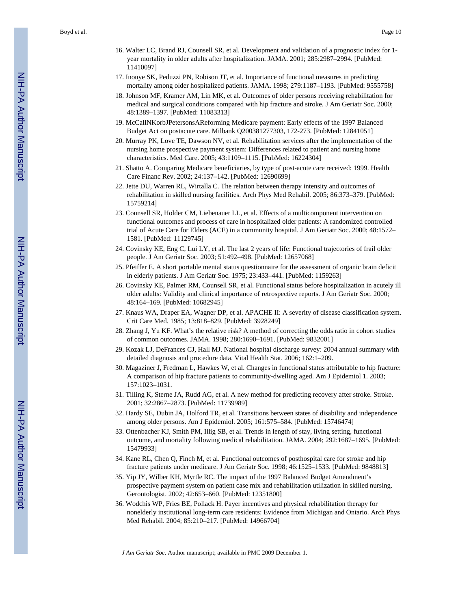- 16. Walter LC, Brand RJ, Counsell SR, et al. Development and validation of a prognostic index for 1 year mortality in older adults after hospitalization. JAMA. 2001; 285:2987–2994. [PubMed: 11410097]
- 17. Inouye SK, Peduzzi PN, Robison JT, et al. Importance of functional measures in predicting mortality among older hospitalized patients. JAMA. 1998; 279:1187–1193. [PubMed: 9555758]
- 18. Johnson MF, Kramer AM, Lin MK, et al. Outcomes of older persons receiving rehabilitation for medical and surgical conditions compared with hip fracture and stroke. J Am Geriatr Soc. 2000; 48:1389–1397. [PubMed: 11083313]
- 19. McCallNKorbJPetersonsAReforming Medicare payment: Early effects of the 1997 Balanced Budget Act on postacute care. Milbank Q200381277303, 172-273. [PubMed: 12841051]
- 20. Murray PK, Love TE, Dawson NV, et al. Rehabilitation services after the implementation of the nursing home prospective payment system: Differences related to patient and nursing home characteristics. Med Care. 2005; 43:1109–1115. [PubMed: 16224304]
- 21. Shatto A. Comparing Medicare beneficiaries, by type of post-acute care received: 1999. Health Care Financ Rev. 2002; 24:137–142. [PubMed: 12690699]
- 22. Jette DU, Warren RL, Wirtalla C. The relation between therapy intensity and outcomes of rehabilitation in skilled nursing facilities. Arch Phys Med Rehabil. 2005; 86:373–379. [PubMed: 15759214]
- 23. Counsell SR, Holder CM, Liebenauer LL, et al. Effects of a multicomponent intervention on functional outcomes and process of care in hospitalized older patients: A randomized controlled trial of Acute Care for Elders (ACE) in a community hospital. J Am Geriatr Soc. 2000; 48:1572– 1581. [PubMed: 11129745]
- 24. Covinsky KE, Eng C, Lui LY, et al. The last 2 years of life: Functional trajectories of frail older people. J Am Geriatr Soc. 2003; 51:492–498. [PubMed: 12657068]
- 25. Pfeiffer E. A short portable mental status questionnaire for the assessment of organic brain deficit in elderly patients. J Am Geriatr Soc. 1975; 23:433–441. [PubMed: 1159263]
- 26. Covinsky KE, Palmer RM, Counsell SR, et al. Functional status before hospitalization in acutely ill older adults: Validity and clinical importance of retrospective reports. J Am Geriatr Soc. 2000; 48:164–169. [PubMed: 10682945]
- 27. Knaus WA, Draper EA, Wagner DP, et al. APACHE II: A severity of disease classification system. Crit Care Med. 1985; 13:818–829. [PubMed: 3928249]
- 28. Zhang J, Yu KF. What's the relative risk? A method of correcting the odds ratio in cohort studies of common outcomes. JAMA. 1998; 280:1690–1691. [PubMed: 9832001]
- 29. Kozak LJ, DeFrances CJ, Hall MJ. National hospital discharge survey: 2004 annual summary with detailed diagnosis and procedure data. Vital Health Stat. 2006; 162:1–209.
- 30. Magaziner J, Fredman L, Hawkes W, et al. Changes in functional status attributable to hip fracture: A comparison of hip fracture patients to community-dwelling aged. Am J Epidemiol 1. 2003; 157:1023–1031.
- 31. Tilling K, Sterne JA, Rudd AG, et al. A new method for predicting recovery after stroke. Stroke. 2001; 32:2867–2873. [PubMed: 11739989]
- 32. Hardy SE, Dubin JA, Holford TR, et al. Transitions between states of disability and independence among older persons. Am J Epidemiol. 2005; 161:575–584. [PubMed: 15746474]
- 33. Ottenbacher KJ, Smith PM, Illig SB, et al. Trends in length of stay, living setting, functional outcome, and mortality following medical rehabilitation. JAMA. 2004; 292:1687–1695. [PubMed: 15479933]
- 34. Kane RL, Chen Q, Finch M, et al. Functional outcomes of posthospital care for stroke and hip fracture patients under medicare. J Am Geriatr Soc. 1998; 46:1525–1533. [PubMed: 9848813]
- 35. Yip JY, Wilber KH, Myrtle RC. The impact of the 1997 Balanced Budget Amendment's prospective payment system on patient case mix and rehabilitation utilization in skilled nursing. Gerontologist. 2002; 42:653–660. [PubMed: 12351800]
- 36. Wodchis WP, Fries BE, Pollack H. Payer incentives and physical rehabilitation therapy for nonelderly institutional long-term care residents: Evidence from Michigan and Ontario. Arch Phys Med Rehabil. 2004; 85:210–217. [PubMed: 14966704]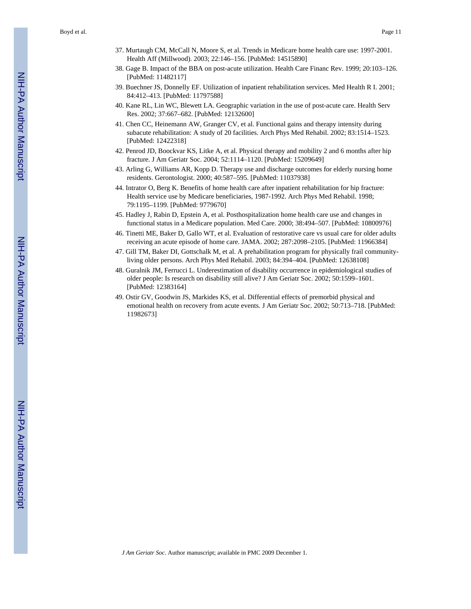Boyd et al. Page 11

- 37. Murtaugh CM, McCall N, Moore S, et al. Trends in Medicare home health care use: 1997-2001. Health Aff (Millwood). 2003; 22:146–156. [PubMed: 14515890]
- 38. Gage B. Impact of the BBA on post-acute utilization. Health Care Financ Rev. 1999; 20:103–126. [PubMed: 11482117]
- 39. Buechner JS, Donnelly EF. Utilization of inpatient rehabilitation services. Med Health R I. 2001; 84:412–413. [PubMed: 11797588]
- 40. Kane RL, Lin WC, Blewett LA. Geographic variation in the use of post-acute care. Health Serv Res. 2002; 37:667–682. [PubMed: 12132600]
- 41. Chen CC, Heinemann AW, Granger CV, et al. Functional gains and therapy intensity during subacute rehabilitation: A study of 20 facilities. Arch Phys Med Rehabil. 2002; 83:1514–1523. [PubMed: 12422318]
- 42. Penrod JD, Boockvar KS, Litke A, et al. Physical therapy and mobility 2 and 6 months after hip fracture. J Am Geriatr Soc. 2004; 52:1114–1120. [PubMed: 15209649]
- 43. Arling G, Williams AR, Kopp D. Therapy use and discharge outcomes for elderly nursing home residents. Gerontologist. 2000; 40:587–595. [PubMed: 11037938]
- 44. Intrator O, Berg K. Benefits of home health care after inpatient rehabilitation for hip fracture: Health service use by Medicare beneficiaries, 1987-1992. Arch Phys Med Rehabil. 1998; 79:1195–1199. [PubMed: 9779670]
- 45. Hadley J, Rabin D, Epstein A, et al. Posthospitalization home health care use and changes in functional status in a Medicare population. Med Care. 2000; 38:494–507. [PubMed: 10800976]
- 46. Tinetti ME, Baker D, Gallo WT, et al. Evaluation of restorative care vs usual care for older adults receiving an acute episode of home care. JAMA. 2002; 287:2098–2105. [PubMed: 11966384]
- 47. Gill TM, Baker DI, Gottschalk M, et al. A prehabilitation program for physically frail communityliving older persons. Arch Phys Med Rehabil. 2003; 84:394–404. [PubMed: 12638108]
- 48. Guralnik JM, Ferrucci L. Underestimation of disability occurrence in epidemiological studies of older people: Is research on disability still alive? J Am Geriatr Soc. 2002; 50:1599–1601. [PubMed: 12383164]
- 49. Ostir GV, Goodwin JS, Markides KS, et al. Differential effects of premorbid physical and emotional health on recovery from acute events. J Am Geriatr Soc. 2002; 50:713–718. [PubMed: 11982673]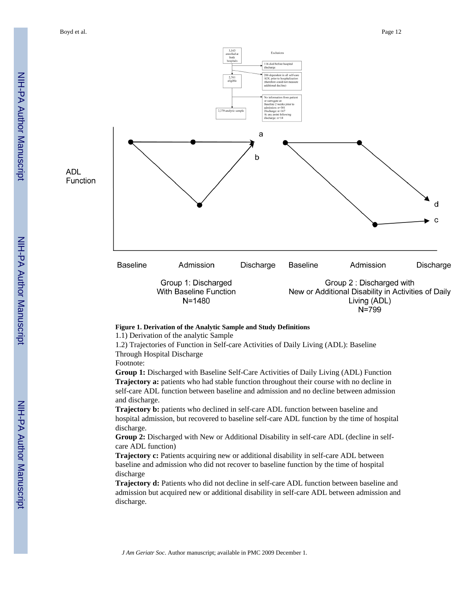Boyd et al. Page 12



 $N = 799$ 

#### **Figure 1. Derivation of the Analytic Sample and Study Definitions**

1.1) Derivation of the analytic Sample

1.2) Trajectories of Function in Self-care Activities of Daily Living (ADL): Baseline Through Hospital Discharge

Footnote:

**Group 1:** Discharged with Baseline Self-Care Activities of Daily Living (ADL) Function **Trajectory a:** patients who had stable function throughout their course with no decline in self-care ADL function between baseline and admission and no decline between admission and discharge.

**Trajectory b:** patients who declined in self-care ADL function between baseline and hospital admission, but recovered to baseline self-care ADL function by the time of hospital discharge.

**Group 2:** Discharged with New or Additional Disability in self-care ADL (decline in selfcare ADL function)

**Trajectory c:** Patients acquiring new or additional disability in self-care ADL between baseline and admission who did not recover to baseline function by the time of hospital discharge

**Trajectory d:** Patients who did not decline in self-care ADL function between baseline and admission but acquired new or additional disability in self-care ADL between admission and discharge.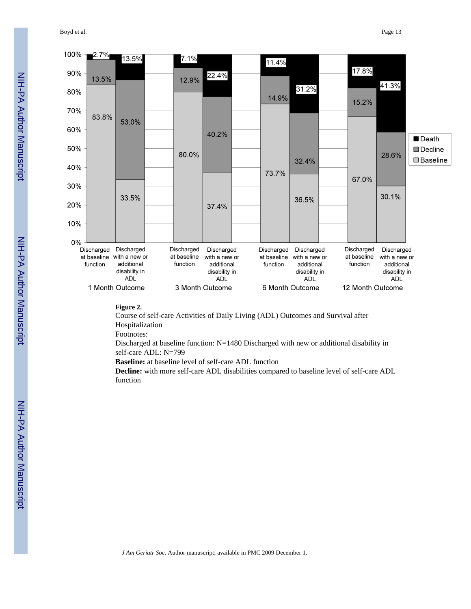Boyd et al. Page 13



#### **Figure 2.**

Course of self-care Activities of Daily Living (ADL) Outcomes and Survival after Hospitalization

Footnotes:

Discharged at baseline function: N=1480 Discharged with new or additional disability in self-care ADL: N=799

**Baseline:** at baseline level of self-care ADL function

**Decline:** with more self-care ADL disabilities compared to baseline level of self-care ADL function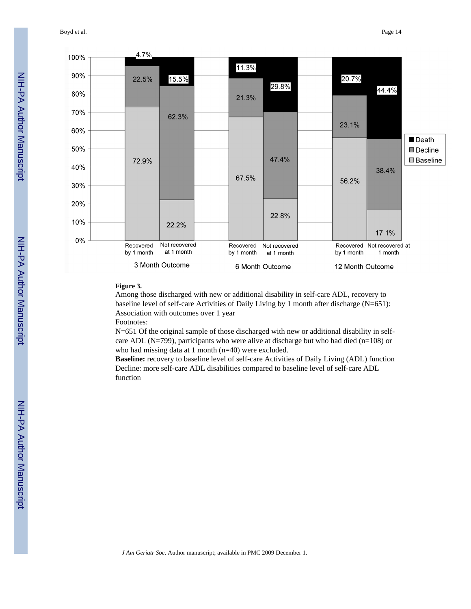Boyd et al. Page 14



#### **Figure 3.**

Among those discharged with new or additional disability in self-care ADL, recovery to baseline level of self-care Activities of Daily Living by 1 month after discharge (N=651): Association with outcomes over 1 year

Footnotes:

N=651 Of the original sample of those discharged with new or additional disability in selfcare ADL (N=799), participants who were alive at discharge but who had died (n=108) or who had missing data at 1 month (n=40) were excluded.

**Baseline:** recovery to baseline level of self-care Activities of Daily Living (ADL) function Decline: more self-care ADL disabilities compared to baseline level of self-care ADL function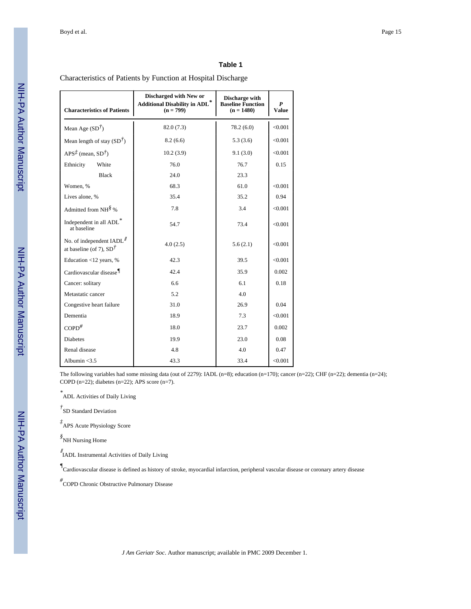#### **Table 1**

Characteristics of Patients by Function at Hospital Discharge

| <b>Characteristics of Patients</b>                                          | Discharged with New or<br>Additional Disability in ADL*<br>$(n = 799)$ | Discharge with<br><b>Baseline Function</b><br>$(n = 1480)$ | P<br><b>Value</b> |
|-----------------------------------------------------------------------------|------------------------------------------------------------------------|------------------------------------------------------------|-------------------|
| Mean Age $(SD^{\dagger})$                                                   | 82.0(7.3)                                                              | 78.2(6.0)                                                  | < 0.001           |
| Mean length of stay $(SD^{\dagger})$                                        | 8.2(6.6)                                                               | 5.3(3.6)                                                   | < 0.001           |
| $APS\vec{\tau}$ (mean, SD <sup><math>\dot{\tau}</math></sup> )              | 10.2(3.9)                                                              | 9.1(3.0)                                                   | < 0.001           |
| Ethnicity<br>White                                                          | 76.0                                                                   | 76.7                                                       | 0.15              |
| <b>Black</b>                                                                | 24.0                                                                   | 23.3                                                       |                   |
| Women, %                                                                    | 68.3                                                                   | 61.0                                                       | < 0.001           |
| Lives alone, %                                                              | 35.4                                                                   | 35.2                                                       | 0.94              |
| Admitted from NH $\frac{8}{9}$ %                                            | 7.8                                                                    | 3.4                                                        | < 0.001           |
| Independent in all ADL*<br>at baseline                                      | 54.7                                                                   | 73.4                                                       | < 0.001           |
| No. of independent IADL <sup>//</sup><br>at baseline (of 7), $SD^{\dagger}$ | 4.0(2.5)                                                               | 5.6(2.1)                                                   | < 0.001           |
| Education <12 years, %                                                      | 42.3                                                                   | 39.5                                                       | < 0.001           |
| Cardiovascular disease <sup>1</sup>                                         | 42.4                                                                   | 35.9                                                       | 0.002             |
| Cancer: solitary                                                            | 6.6                                                                    | 6.1                                                        | 0.18              |
| Metastatic cancer                                                           | 5.2                                                                    | 4.0                                                        |                   |
| Congestive heart failure                                                    | 31.0                                                                   | 26.9                                                       | 0.04              |
| Dementia                                                                    | 18.9                                                                   | 7.3                                                        | < 0.001           |
| $COPD$ <sup>#</sup>                                                         | 18.0                                                                   | 23.7                                                       | 0.002             |
| <b>Diabetes</b>                                                             | 19.9                                                                   | 23.0                                                       | 0.08              |
| Renal disease                                                               | 4.8                                                                    | 4.0                                                        | 0.47              |
| Albumin $<$ 3.5                                                             | 43.3                                                                   | 33.4                                                       | < 0.001           |

The following variables had some missing data (out of 2279): IADL (n=8); education (n=170); cancer (n=22); CHF (n=22); dementia (n=24); COPD (n=22); diabetes (n=22); APS score (n=7).

*\** ADL Activities of Daily Living

*†* SD Standard Deviation

*‡* APS Acute Physiology Score

*§* NH Nursing Home

∥ IADL Instrumental Activities of Daily Living

*¶* Cardiovascular disease is defined as history of stroke, myocardial infarction, peripheral vascular disease or coronary artery disease

*#* COPD Chronic Obstructive Pulmonary Disease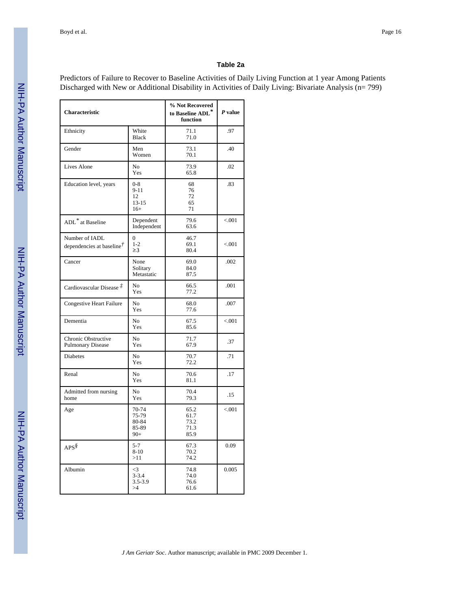#### **Table 2a**

Predictors of Failure to Recover to Baseline Activities of Daily Living Function at 1 year Among Patients Discharged with New or Additional Disability in Activities of Daily Living: Bivariate Analysis (n= 799)

| <b>Characteristic</b>                                    |                                                 | % Not Recovered<br>to Baseline ADL*<br>function | $P$ value |
|----------------------------------------------------------|-------------------------------------------------|-------------------------------------------------|-----------|
| Ethnicity                                                | White<br><b>Black</b>                           | 71.1<br>71.0                                    | .97       |
| Gender                                                   | Men<br>Women                                    | 73.1<br>70.1                                    | .40       |
| Lives Alone                                              | N <sub>0</sub><br>Yes                           | 73.9<br>65.8                                    | .02       |
| Education level, years                                   | $0 - 8$<br>$9 - 11$<br>12<br>$13 - 15$<br>$16+$ | 68<br>76<br>72<br>65<br>71                      | .83       |
| ADL <sup>*</sup> at Baseline                             | Dependent<br>Independent                        | 79.6<br>63.6                                    | < 0.001   |
| Number of IADL<br>dependencies at baseline $\ddot{\tau}$ | $\theta$<br>$1 - 2$<br>$\geq$ 3                 | 46.7<br>69.1<br>80.4                            | < 0.001   |
| Cancer                                                   | None<br>Solitary<br>Metastatic                  | 69.0<br>84.0<br>87.5                            | .002      |
| Cardiovascular Disease $\ddot{\uparrow}$                 | No<br>Yes                                       | 66.5<br>77.2                                    | .001      |
| <b>Congestive Heart Failure</b>                          | No<br>Yes                                       | 68.0<br>77.6                                    | .007      |
| Dementia                                                 | No<br>Yes                                       | 67.5<br>85.6                                    | < 0.001   |
| Chronic Obstructive<br><b>Pulmonary Disease</b>          | No<br>Yes                                       | 71.7<br>67.9                                    | .37       |
| <b>Diabetes</b>                                          | N <sub>o</sub><br>Yes                           | 70.7<br>72.2                                    | .71       |
| Renal                                                    | No<br>Yes                                       | 70.6<br>81.1                                    | .17       |
| Admitted from nursing<br>home                            | No<br>Yes                                       | 70.4<br>79.3                                    | .15       |
| Age                                                      | 70-74<br>75-79<br>80-84<br>85-89<br>$90+$       | 65.2<br>61.7<br>73.2<br>71.3<br>85.9            | < 0.001   |
| $APS^{\$}$                                               | $5 - 7$<br>$8 - 10$<br>>11                      | 67.3<br>70.2<br>74.2                            | 0.09      |
| Albumin                                                  | $\leq$<br>$3 - 3.4$<br>$3.5 - 3.9$<br>>4        | 74.8<br>74.0<br>76.6<br>61.6                    | 0.005     |